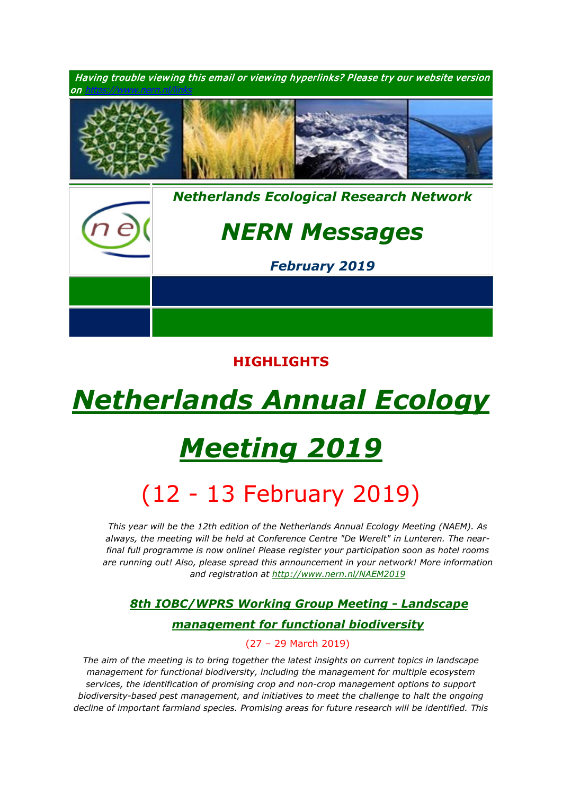

# **HIGHLIGHTS**

# *[Netherlands Annual Ecology](https://www.nern.nl/NAEM2019)*

# *[Meeting 2019](https://www.nern.nl/NAEM2019)*

# (12 - 13 February 2019)

1. *This year will be the 12th edition of the Netherlands Annual Ecology Meeting (NAEM). As always, the meeting will be held at Conference Centre "De Werelt" in Lunteren. The nearfinal full programme is now online! Please register your participation soon as hotel rooms are running out! Also, please spread this announcement in your network! More information and registration at<http://www.nern.nl/NAEM2019>*

# *1. [8th IOBC/WPRS Working Group Meeting](https://www.pe-rc.nl/IOBC-WPRS-meeting) - Landscape*

### *[management for functional biodiversity](https://www.pe-rc.nl/IOBC-WPRS-meeting)*

#### 2. (27 – 29 March 2019)

*The aim of the meeting is to bring together the latest insights on current topics in landscape management for functional biodiversity, including the management for multiple ecosystem services, the identification of promising crop and non-crop management options to support biodiversity-based pest management, and initiatives to meet the challenge to halt the ongoing decline of important farmland species. Promising areas for future research will be identified. This*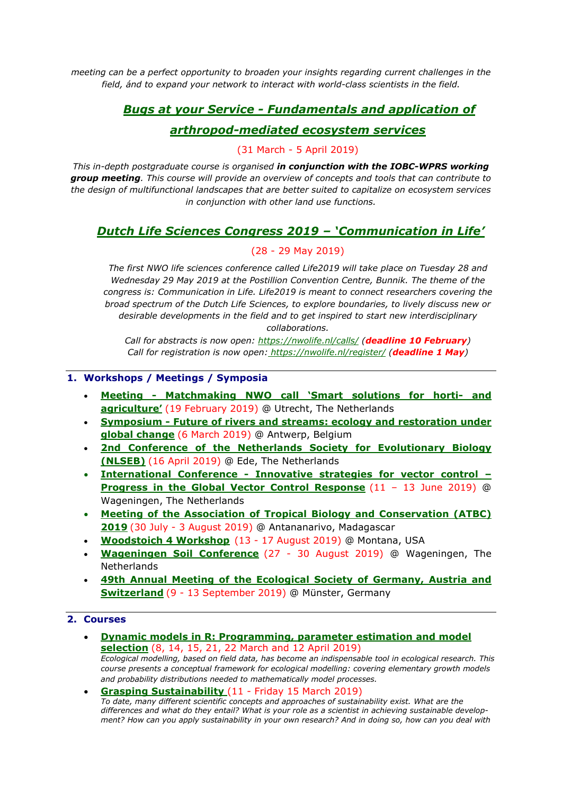*meeting can be a perfect opportunity to broaden your insights regarding current challenges in the field, ánd to expand your network to interact with world-class scientists in the field.*

# *1. Bugs at your Service - [Fundamentals and application of](https://www.pe-rc.nl/bugs)*

### *[arthropod-mediated ecosystem services](https://www.pe-rc.nl/bugs)*

#### 2. (31 March - 5 April 2019)

*This in-depth postgraduate course is organised in conjunction with the IOBC-WPRS working group meeting. This course will provide an overview of concepts and tools that can contribute to the design of multifunctional landscapes that are better suited to capitalize on ecosystem services in conjunction with other land use functions.*

## *[Dutch Life Sciences Congress 2019 –](https://nwolife.nl/) 'Communication in Life'*

#### $(28 - 29$  May 2019)

*4. The first NWO life sciences conference called Life2019 will take place on Tuesday 28 and Wednesday 29 May 2019 at the Postillion Convention Centre, Bunnik. The theme of the congress is: Communication in Life. Life2019 is meant to connect researchers covering the broad spectrum of the Dutch Life Sciences, to explore boundaries, to lively discuss new or desirable developments in the field and to get inspired to start new interdisciplinary collaborations.*

*5. Call for abstracts is now open: <https://nwolife.nl/calls/> (deadline 10 February) Call for registration is now open: <https://nwolife.nl/register/> (deadline 1 May)*

#### **1. Workshops / Meetings / Symposia**

- **Meeting - [Matchmaking NWO call 'Smart solutions for horti-](https://www.nwo.nl/en/news-and-events/news/2019/01/registration-for-matchmaking-session-smart-solutions-for-horti--and-agriculture-open.html) and [agriculture'](https://www.nwo.nl/en/news-and-events/news/2019/01/registration-for-matchmaking-session-smart-solutions-for-horti--and-agriculture-open.html)** (19 February 2019) @ Utrecht, The Netherlands
- **Symposium - [Future of rivers and streams: ecology and restoration under](https://www.wetland-ecology.nl/en/calendar/future-rivers-and-streams-ecology-and-restoration-under-global-change-0)  [global change](https://www.wetland-ecology.nl/en/calendar/future-rivers-and-streams-ecology-and-restoration-under-global-change-0)** (6 March 2019) @ Antwerp, Belgium
- **[2nd Conference of the Netherlands Society for Evolutionary Biology](http://nlseb.nl/meetings/)  [\(NLSEB\)](http://nlseb.nl/meetings/)** (16 April 2019) @ Ede, The Netherlands
- **International Conference - [Innovative strategies for vector control –](https://www.gvcr-2019.com/) [Progress in the Global Vector Control Response](https://www.gvcr-2019.com/)** (11 – 13 June 2019) @ Wageningen, The Netherlands
- **[Meeting of the Association of Tropical Biology and Conservation \(ATBC\)](https://atbc2019.org/)  [2019](https://atbc2019.org/)** (30 July - 3 August 2019) @ Antananarivo, Madagascar
- **[Woodstoich 4 Workshop](https://www.nern.nl/sites/default/files/Woodstoich4_Advertisement.pdf)** (13 17 August 2019) @ Montana, USA
- **[Wageningen Soil Conference](https://wageningensoilconference.eu/2019)** (27 30 August 2019) @ Wageningen, The **Netherlands**
- **[49th Annual Meeting of the Ecological Society of Germany, Austria and](https://www.gfoe-conference.de/)  [Switzerland](https://www.gfoe-conference.de/)** (9 - 13 September 2019) @ Münster, Germany

#### **2. Courses**

- **[Dynamic models in R: Programming, parameter estimation and model](https://www.pe-rc.nl/postgraduate-courses/dynamic-models-in-r)  [selection](https://www.pe-rc.nl/postgraduate-courses/dynamic-models-in-r)** (8, 14, 15, 21, 22 March and 12 April 2019) *Ecological modelling, based on field data, has become an indispensable tool in ecological research. This course presents a conceptual framework for ecological modelling: covering elementary growth models and probability distributions needed to mathematically model processes.*
- **[Grasping Sustainability](http://www.sense.nl/courses/past/10844532/Grasping-Sustainability)** (11 Friday 15 March 2019) *To date, many different scientific concepts and approaches of sustainability exist. What are the differences and what do they entail? What is your role as a scientist in achieving sustainable development? How can you apply sustainability in your own research? And in doing so, how can you deal with*